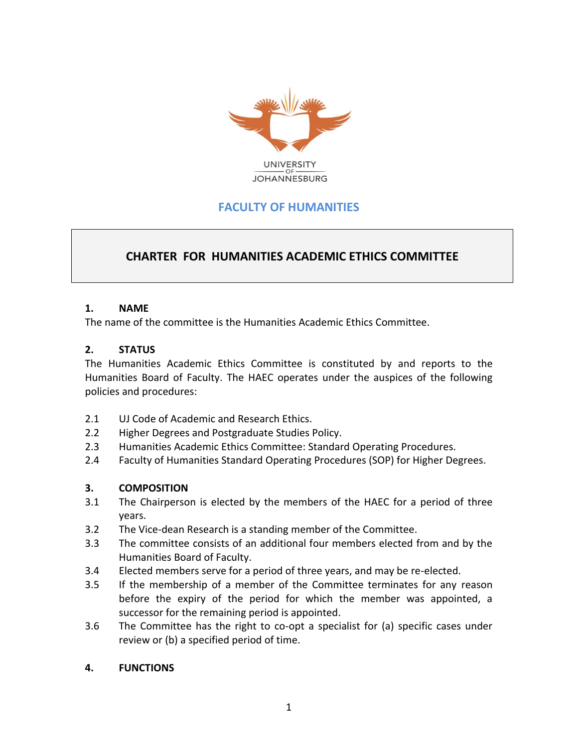

# **FACULTY OF HUMANITIES**

## **CHARTER FOR HUMANITIES ACADEMIC ETHICS COMMITTEE**

#### **1. NAME**

The name of the committee is the Humanities Academic Ethics Committee.

#### **2. STATUS**

The Humanities Academic Ethics Committee is constituted by and reports to the Humanities Board of Faculty. The HAEC operates under the auspices of the following policies and procedures:

- 2.1 UJ Code of Academic and Research Ethics.
- 2.2 Higher Degrees and Postgraduate Studies Policy.
- 2.3 Humanities Academic Ethics Committee: Standard Operating Procedures.
- 2.4 Faculty of Humanities Standard Operating Procedures (SOP) for Higher Degrees.

#### **3. COMPOSITION**

- 3.1 The Chairperson is elected by the members of the HAEC for a period of three years.
- 3.2 The Vice-dean Research is a standing member of the Committee.
- 3.3 The committee consists of an additional four members elected from and by the Humanities Board of Faculty.
- 3.4 Elected members serve for a period of three years, and may be re-elected.
- 3.5 If the membership of a member of the Committee terminates for any reason before the expiry of the period for which the member was appointed, a successor for the remaining period is appointed.
- 3.6 The Committee has the right to co-opt a specialist for (a) specific cases under review or (b) a specified period of time.

#### **4. FUNCTIONS**